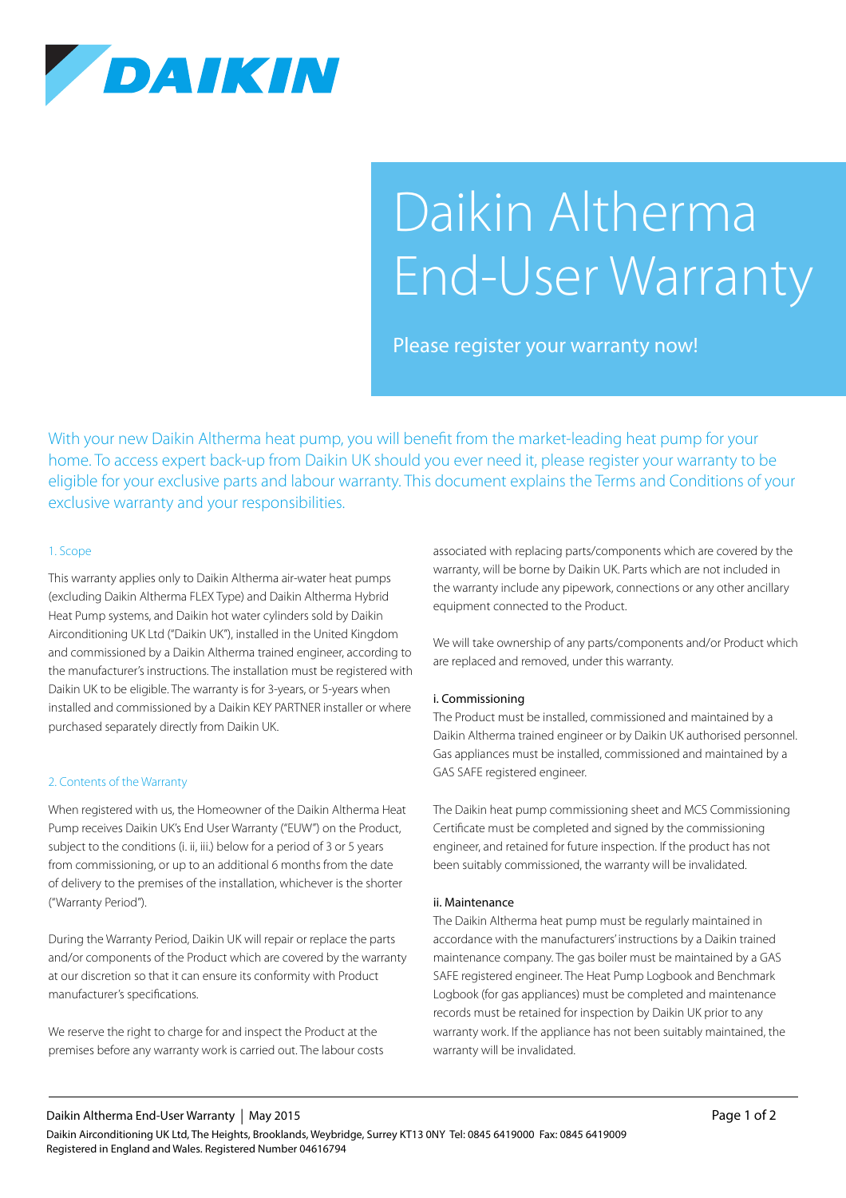

# Daikin Altherma End-User Warranty

Please register your warranty now!

With your new Daikin Altherma heat pump, you will benefit from the market-leading heat pump for your home. To access expert back-up from Daikin UK should you ever need it, please register your warranty to be eligible for your exclusive parts and labour warranty. This document explains the Terms and Conditions of your exclusive warranty and your responsibilities.

## 1. Scope

This warranty applies only to Daikin Altherma air-water heat pumps (excluding Daikin Altherma FLEX Type) and Daikin Altherma Hybrid Heat Pump systems, and Daikin hot water cylinders sold by Daikin Airconditioning UK Ltd ("Daikin UK"), installed in the United Kingdom and commissioned by a Daikin Altherma trained engineer, according to the manufacturer's instructions. The installation must be registered with Daikin UK to be eligible. The warranty is for 3-years, or 5-years when installed and commissioned by a Daikin KEY PARTNER installer or where purchased separately directly from Daikin UK.

## 2. Contents of the Warranty

When registered with us, the Homeowner of the Daikin Altherma Heat Pump receives Daikin UK's End User Warranty ("EUW") on the Product, subject to the conditions (i. ii, iii.) below for a period of 3 or 5 years from commissioning, or up to an additional 6 months from the date of delivery to the premises of the installation, whichever is the shorter ("Warranty Period").

During the Warranty Period, Daikin UK will repair or replace the parts and/or components of the Product which are covered by the warranty at our discretion so that it can ensure its conformity with Product manufacturer's specifications.

We reserve the right to charge for and inspect the Product at the premises before any warranty work is carried out. The labour costs associated with replacing parts/components which are covered by the warranty, will be borne by Daikin UK. Parts which are not included in the warranty include any pipework, connections or any other ancillary equipment connected to the Product.

We will take ownership of any parts/components and/or Product which are replaced and removed, under this warranty.

## i. Commissioning

The Product must be installed, commissioned and maintained by a Daikin Altherma trained engineer or by Daikin UK authorised personnel. Gas appliances must be installed, commissioned and maintained by a GAS SAFE registered engineer.

The Daikin heat pump commissioning sheet and MCS Commissioning Certificate must be completed and signed by the commissioning engineer, and retained for future inspection. If the product has not been suitably commissioned, the warranty will be invalidated.

#### ii. Maintenance

The Daikin Altherma heat pump must be regularly maintained in accordance with the manufacturers' instructions by a Daikin trained maintenance company. The gas boiler must be maintained by a GAS SAFE registered engineer. The Heat Pump Logbook and Benchmark Logbook (for gas appliances) must be completed and maintenance records must be retained for inspection by Daikin UK prior to any warranty work. If the appliance has not been suitably maintained, the warranty will be invalidated.